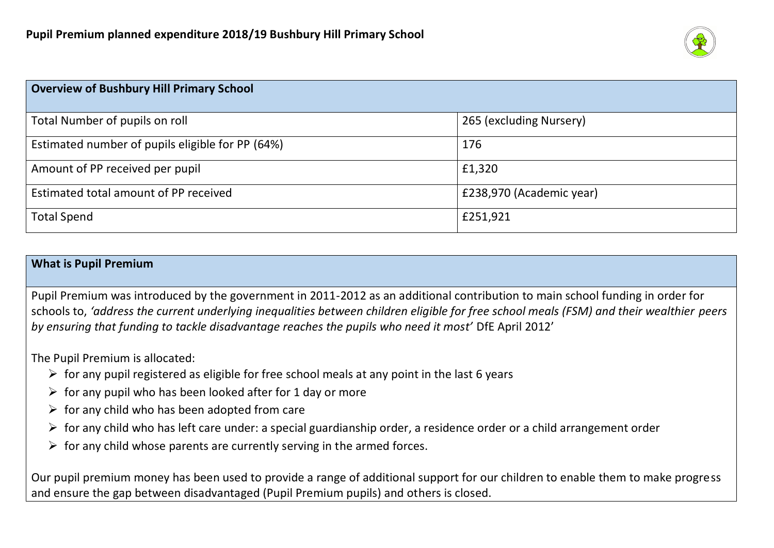

| <b>Overview of Bushbury Hill Primary School</b>  |                          |
|--------------------------------------------------|--------------------------|
| Total Number of pupils on roll                   | 265 (excluding Nursery)  |
| Estimated number of pupils eligible for PP (64%) | 176                      |
| Amount of PP received per pupil                  | £1,320                   |
| Estimated total amount of PP received            | £238,970 (Academic year) |
| <b>Total Spend</b>                               | £251,921                 |

#### **What is Pupil Premium**

Pupil Premium was introduced by the government in 2011-2012 as an additional contribution to main school funding in order for schools to, *'address the current underlying inequalities between children eligible for free school meals (FSM) and their wealthier peers by ensuring that funding to tackle disadvantage reaches the pupils who need it most'* DfE April 2012'

The Pupil Premium is allocated:

- $\triangleright$  for any pupil registered as eligible for free school meals at any point in the last 6 years
- $\triangleright$  for any pupil who has been looked after for 1 day or more
- $\triangleright$  for any child who has been adopted from care
- $\triangleright$  for any child who has left care under: a special guardianship order, a residence order or a child arrangement order
- $\triangleright$  for any child whose parents are currently serving in the armed forces.

Our pupil premium money has been used to provide a range of additional support for our children to enable them to make progress and ensure the gap between disadvantaged (Pupil Premium pupils) and others is closed.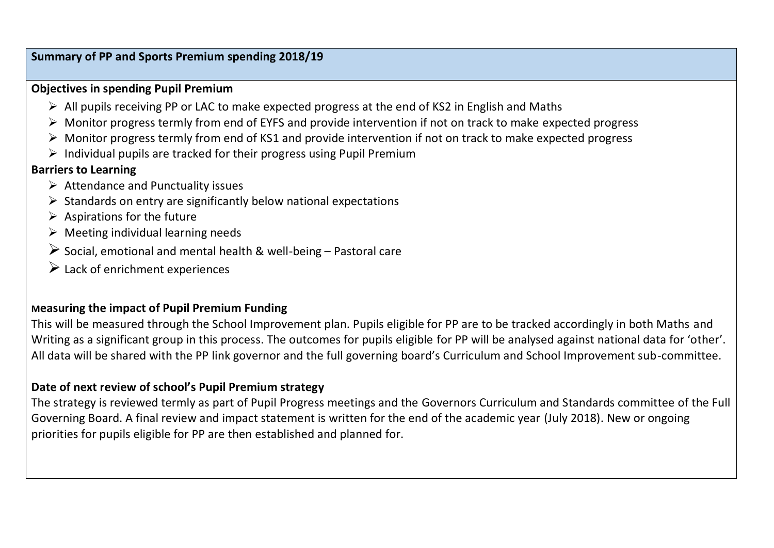### **Summary of PP and Sports Premium spending 2018/19**

### **Objectives in spending Pupil Premium**

- $\triangleright$  All pupils receiving PP or LAC to make expected progress at the end of KS2 in English and Maths
- $\triangleright$  Monitor progress termly from end of EYFS and provide intervention if not on track to make expected progress
- $\triangleright$  Monitor progress termly from end of KS1 and provide intervention if not on track to make expected progress
- $\triangleright$  Individual pupils are tracked for their progress using Pupil Premium

# **Barriers to Learning**

- $\triangleright$  Attendance and Punctuality issues
- $\triangleright$  Standards on entry are significantly below national expectations
- $\triangleright$  Aspirations for the future
- $\triangleright$  Meeting individual learning needs
- $\triangleright$  Social, emotional and mental health & well-being Pastoral care
- $\triangleright$  Lack of enrichment experiences

## **Measuring the impact of Pupil Premium Funding**

This will be measured through the School Improvement plan. Pupils eligible for PP are to be tracked accordingly in both Maths and Writing as a significant group in this process. The outcomes for pupils eligible for PP will be analysed against national data for 'other'. All data will be shared with the PP link governor and the full governing board's Curriculum and School Improvement sub-committee.

## **Date of next review of school's Pupil Premium strategy**

The strategy is reviewed termly as part of Pupil Progress meetings and the Governors Curriculum and Standards committee of the Full Governing Board. A final review and impact statement is written for the end of the academic year (July 2018). New or ongoing priorities for pupils eligible for PP are then established and planned for.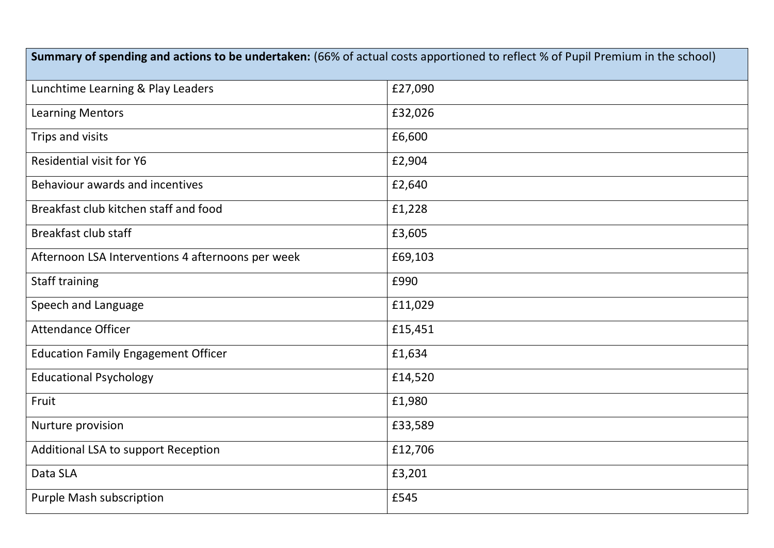| Summary of spending and actions to be undertaken: (66% of actual costs apportioned to reflect % of Pupil Premium in the school) |         |  |  |
|---------------------------------------------------------------------------------------------------------------------------------|---------|--|--|
| Lunchtime Learning & Play Leaders                                                                                               | £27,090 |  |  |
| <b>Learning Mentors</b>                                                                                                         | £32,026 |  |  |
| Trips and visits                                                                                                                | £6,600  |  |  |
| <b>Residential visit for Y6</b>                                                                                                 | £2,904  |  |  |
| Behaviour awards and incentives                                                                                                 | £2,640  |  |  |
| Breakfast club kitchen staff and food                                                                                           | £1,228  |  |  |
| <b>Breakfast club staff</b>                                                                                                     | £3,605  |  |  |
| Afternoon LSA Interventions 4 afternoons per week                                                                               | £69,103 |  |  |
| <b>Staff training</b>                                                                                                           | £990    |  |  |
| Speech and Language                                                                                                             | £11,029 |  |  |
| <b>Attendance Officer</b>                                                                                                       | £15,451 |  |  |
| <b>Education Family Engagement Officer</b>                                                                                      | £1,634  |  |  |
| <b>Educational Psychology</b>                                                                                                   | £14,520 |  |  |
| Fruit                                                                                                                           | £1,980  |  |  |
| Nurture provision                                                                                                               | £33,589 |  |  |
| Additional LSA to support Reception                                                                                             | £12,706 |  |  |
| Data SLA                                                                                                                        | £3,201  |  |  |
| Purple Mash subscription                                                                                                        | £545    |  |  |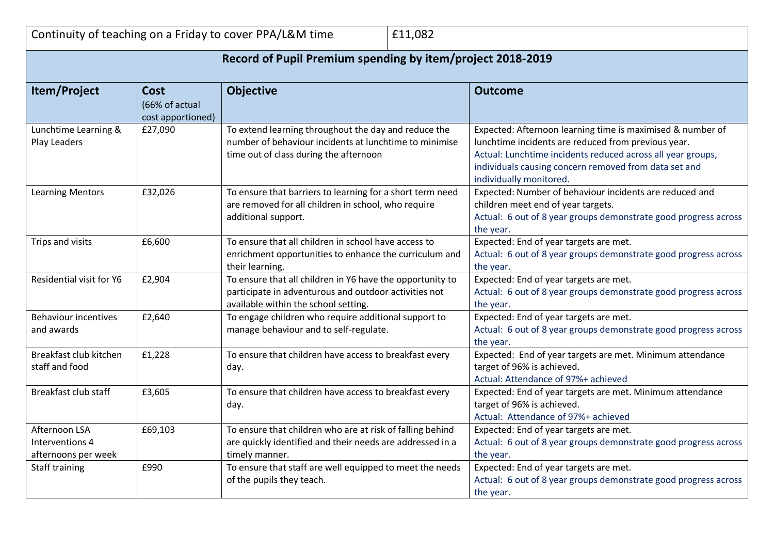|                                                            |                                                    | Continuity of teaching on a Friday to cover PPA/L&M time<br>£11,082                                                                                        |                                                                                                                                                                                                                                                                      |  |
|------------------------------------------------------------|----------------------------------------------------|------------------------------------------------------------------------------------------------------------------------------------------------------------|----------------------------------------------------------------------------------------------------------------------------------------------------------------------------------------------------------------------------------------------------------------------|--|
| Record of Pupil Premium spending by item/project 2018-2019 |                                                    |                                                                                                                                                            |                                                                                                                                                                                                                                                                      |  |
| Item/Project                                               | <b>Cost</b><br>(66% of actual<br>cost apportioned) | <b>Objective</b>                                                                                                                                           | <b>Outcome</b>                                                                                                                                                                                                                                                       |  |
| Lunchtime Learning &<br>Play Leaders                       | £27,090                                            | To extend learning throughout the day and reduce the<br>number of behaviour incidents at lunchtime to minimise<br>time out of class during the afternoon   | Expected: Afternoon learning time is maximised & number of<br>lunchtime incidents are reduced from previous year.<br>Actual: Lunchtime incidents reduced across all year groups,<br>individuals causing concern removed from data set and<br>individually monitored. |  |
| <b>Learning Mentors</b>                                    | £32,026                                            | To ensure that barriers to learning for a short term need<br>are removed for all children in school, who require<br>additional support.                    | Expected: Number of behaviour incidents are reduced and<br>children meet end of year targets.<br>Actual: 6 out of 8 year groups demonstrate good progress across<br>the year.                                                                                        |  |
| Trips and visits                                           | £6,600                                             | To ensure that all children in school have access to<br>enrichment opportunities to enhance the curriculum and<br>their learning.                          | Expected: End of year targets are met.<br>Actual: 6 out of 8 year groups demonstrate good progress across<br>the year.                                                                                                                                               |  |
| Residential visit for Y6                                   | £2,904                                             | To ensure that all children in Y6 have the opportunity to<br>participate in adventurous and outdoor activities not<br>available within the school setting. | Expected: End of year targets are met.<br>Actual: 6 out of 8 year groups demonstrate good progress across<br>the year.                                                                                                                                               |  |
| <b>Behaviour incentives</b><br>and awards                  | £2,640                                             | To engage children who require additional support to<br>manage behaviour and to self-regulate.                                                             | Expected: End of year targets are met.<br>Actual: 6 out of 8 year groups demonstrate good progress across<br>the year.                                                                                                                                               |  |
| Breakfast club kitchen<br>staff and food                   | £1,228                                             | To ensure that children have access to breakfast every<br>day.                                                                                             | Expected: End of year targets are met. Minimum attendance<br>target of 96% is achieved.<br>Actual: Attendance of 97%+ achieved                                                                                                                                       |  |
| Breakfast club staff                                       | £3,605                                             | To ensure that children have access to breakfast every<br>day.                                                                                             | Expected: End of year targets are met. Minimum attendance<br>target of 96% is achieved.<br>Actual: Attendance of 97%+ achieved                                                                                                                                       |  |
| Afternoon LSA<br>Interventions 4<br>afternoons per week    | £69,103                                            | To ensure that children who are at risk of falling behind<br>are quickly identified and their needs are addressed in a<br>timely manner.                   | Expected: End of year targets are met.<br>Actual: 6 out of 8 year groups demonstrate good progress across<br>the year.                                                                                                                                               |  |
| <b>Staff training</b>                                      | £990                                               | To ensure that staff are well equipped to meet the needs<br>of the pupils they teach.                                                                      | Expected: End of year targets are met.<br>Actual: 6 out of 8 year groups demonstrate good progress across<br>the year.                                                                                                                                               |  |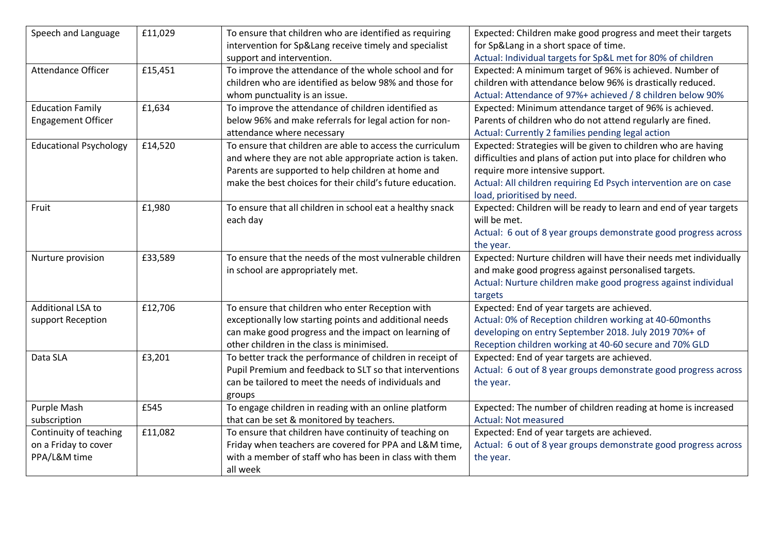| Speech and Language           | £11,029 | To ensure that children who are identified as requiring   | Expected: Children make good progress and meet their targets      |
|-------------------------------|---------|-----------------------------------------------------------|-------------------------------------------------------------------|
|                               |         | intervention for Sp⟪ receive timely and specialist        | for Sp⟪ in a short space of time.                                 |
|                               |         | support and intervention.                                 | Actual: Individual targets for Sp&L met for 80% of children       |
| Attendance Officer            | £15,451 | To improve the attendance of the whole school and for     | Expected: A minimum target of 96% is achieved. Number of          |
|                               |         | children who are identified as below 98% and those for    | children with attendance below 96% is drastically reduced.        |
|                               |         | whom punctuality is an issue.                             | Actual: Attendance of 97%+ achieved / 8 children below 90%        |
| <b>Education Family</b>       | £1,634  | To improve the attendance of children identified as       | Expected: Minimum attendance target of 96% is achieved.           |
| <b>Engagement Officer</b>     |         | below 96% and make referrals for legal action for non-    | Parents of children who do not attend regularly are fined.        |
|                               |         | attendance where necessary                                | Actual: Currently 2 families pending legal action                 |
| <b>Educational Psychology</b> | £14,520 | To ensure that children are able to access the curriculum | Expected: Strategies will be given to children who are having     |
|                               |         | and where they are not able appropriate action is taken.  | difficulties and plans of action put into place for children who  |
|                               |         | Parents are supported to help children at home and        | require more intensive support.                                   |
|                               |         | make the best choices for their child's future education. | Actual: All children requiring Ed Psych intervention are on case  |
|                               |         |                                                           | load, prioritised by need.                                        |
| Fruit                         | £1,980  | To ensure that all children in school eat a healthy snack | Expected: Children will be ready to learn and end of year targets |
|                               |         | each day                                                  | will be met.                                                      |
|                               |         |                                                           | Actual: 6 out of 8 year groups demonstrate good progress across   |
|                               |         |                                                           | the year.                                                         |
| Nurture provision             | £33,589 | To ensure that the needs of the most vulnerable children  | Expected: Nurture children will have their needs met individually |
|                               |         | in school are appropriately met.                          | and make good progress against personalised targets.              |
|                               |         |                                                           | Actual: Nurture children make good progress against individual    |
|                               |         |                                                           | targets                                                           |
| Additional LSA to             | £12,706 | To ensure that children who enter Reception with          | Expected: End of year targets are achieved.                       |
| support Reception             |         | exceptionally low starting points and additional needs    | Actual: 0% of Reception children working at 40-60months           |
|                               |         | can make good progress and the impact on learning of      | developing on entry September 2018. July 2019 70%+ of             |
|                               |         | other children in the class is minimised.                 | Reception children working at 40-60 secure and 70% GLD            |
| Data SLA                      | £3,201  | To better track the performance of children in receipt of | Expected: End of year targets are achieved.                       |
|                               |         | Pupil Premium and feedback to SLT so that interventions   | Actual: 6 out of 8 year groups demonstrate good progress across   |
|                               |         | can be tailored to meet the needs of individuals and      | the year.                                                         |
|                               |         | groups                                                    |                                                                   |
| Purple Mash                   | £545    | To engage children in reading with an online platform     | Expected: The number of children reading at home is increased     |
| subscription                  |         | that can be set & monitored by teachers.                  | <b>Actual: Not measured</b>                                       |
| Continuity of teaching        | £11,082 | To ensure that children have continuity of teaching on    | Expected: End of year targets are achieved.                       |
| on a Friday to cover          |         | Friday when teachers are covered for PPA and L&M time,    | Actual: 6 out of 8 year groups demonstrate good progress across   |
| PPA/L&M time                  |         | with a member of staff who has been in class with them    | the year.                                                         |
|                               |         | all week                                                  |                                                                   |